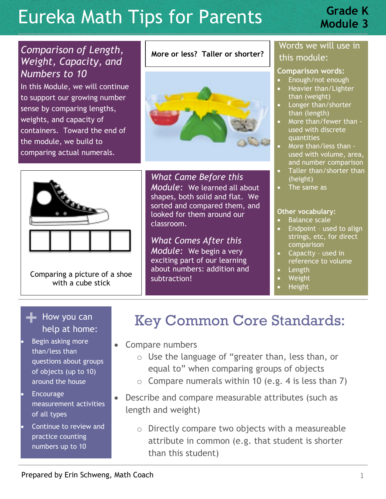# **Eureka Math Tips for Parents Module 3**

# **Grade K**

## *Comparison of Length, Weight, Capacity, and Numbers to 10*

In this Module, we will continue to support our growing number sense by comparing lengths, weights, and capacity of containers. Toward the end of the module, we build to comparing actual numerals.

#### **More or less? Taller or shorter?**





Comparing a picture of a shoe with a cube stick

*What Came Before this Module:* We learned all about shapes, both solid and flat. We sorted and compared them, and looked for them around our classroom.

*What Comes After this Module:* We begin a very exciting part of our learning about numbers: addition and subtraction!

### Words we will use in this module:

#### **Comparison words:**

- Enough/not enough
- Heavier than/Lighter than (weight)
- Longer than/shorter than (length)
- More than/fewer than used with discrete quantities
- More than/less than used with volume, area, and number comparison
- Taller than/shorter than (height)
- The same as

#### **Other vocabulary:**

- Balance scale
- Endpoint used to align strings, etc, for direct comparison
- Capacity used in reference to volume
- Length
- Weight
- Height

## **+** How you can help at home:

- Begin asking more than/less than questions about groups of objects (up to 10) around the house
- Encourage measurement activities of all types
- Continue to review and practice counting numbers up to 10

# Key Common Core Standards:

- Compare numbers
	- o Use the language of "greater than, less than, or equal to" when comparing groups of objects
	- $\circ$  Compare numerals within 10 (e.g. 4 is less than 7)
- Describe and compare measurable attributes (such as length and weight)
	- o Directly compare two objects with a measureable attribute in common (e.g. that student is shorter than this student)